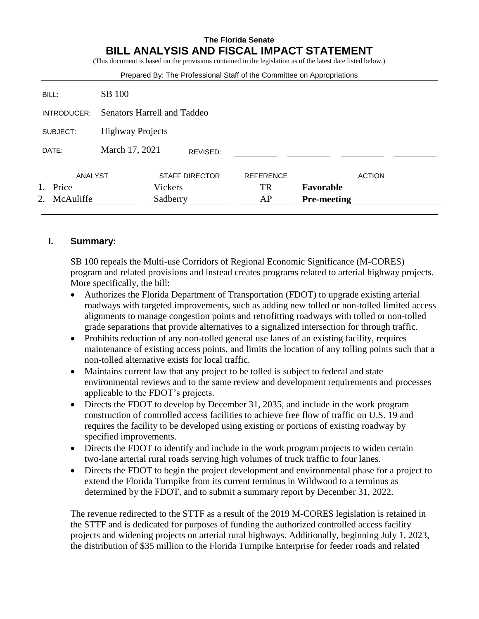# **The Florida Senate BILL ANALYSIS AND FISCAL IMPACT STATEMENT**

(This document is based on the provisions contained in the legislation as of the latest date listed below.)

| McAuliffe<br>2. |                                    | Sadberry              |          | AP                                                                     | <b>Pre-meeting</b> |               |
|-----------------|------------------------------------|-----------------------|----------|------------------------------------------------------------------------|--------------------|---------------|
| Price           |                                    | Vickers               |          | <b>TR</b>                                                              | Favorable          |               |
| ANALYST         |                                    | <b>STAFF DIRECTOR</b> |          | <b>REFERENCE</b>                                                       |                    | <b>ACTION</b> |
| DATE:           | March 17, 2021                     |                       | REVISED: |                                                                        |                    |               |
| SUBJECT:        | <b>Highway Projects</b>            |                       |          |                                                                        |                    |               |
| INTRODUCER:     | <b>Senators Harrell and Taddeo</b> |                       |          |                                                                        |                    |               |
| BILL:           | SB 100                             |                       |          |                                                                        |                    |               |
|                 |                                    |                       |          | Prepared By: The Professional Staff of the Committee on Appropriations |                    |               |

## **I. Summary:**

SB 100 repeals the Multi-use Corridors of Regional Economic Significance (M-CORES) program and related provisions and instead creates programs related to arterial highway projects. More specifically, the bill:

- Authorizes the Florida Department of Transportation (FDOT) to upgrade existing arterial roadways with targeted improvements, such as adding new tolled or non-tolled limited access alignments to manage congestion points and retrofitting roadways with tolled or non-tolled grade separations that provide alternatives to a signalized intersection for through traffic.
- Prohibits reduction of any non-tolled general use lanes of an existing facility, requires maintenance of existing access points, and limits the location of any tolling points such that a non-tolled alternative exists for local traffic.
- Maintains current law that any project to be tolled is subject to federal and state environmental reviews and to the same review and development requirements and processes applicable to the FDOT's projects.
- Directs the FDOT to develop by December 31, 2035, and include in the work program construction of controlled access facilities to achieve free flow of traffic on U.S. 19 and requires the facility to be developed using existing or portions of existing roadway by specified improvements.
- Directs the FDOT to identify and include in the work program projects to widen certain two-lane arterial rural roads serving high volumes of truck traffic to four lanes.
- Directs the FDOT to begin the project development and environmental phase for a project to extend the Florida Turnpike from its current terminus in Wildwood to a terminus as determined by the FDOT, and to submit a summary report by December 31, 2022.

The revenue redirected to the STTF as a result of the 2019 M-CORES legislation is retained in the STTF and is dedicated for purposes of funding the authorized controlled access facility projects and widening projects on arterial rural highways. Additionally, beginning July 1, 2023, the distribution of \$35 million to the Florida Turnpike Enterprise for feeder roads and related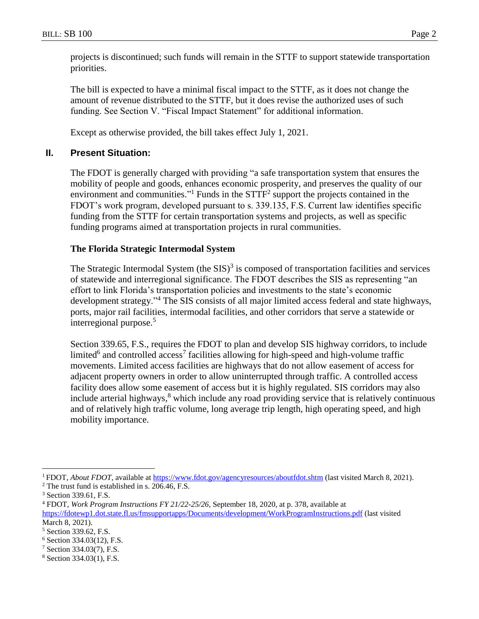projects is discontinued; such funds will remain in the STTF to support statewide transportation priorities.

The bill is expected to have a minimal fiscal impact to the STTF, as it does not change the amount of revenue distributed to the STTF, but it does revise the authorized uses of such funding. See Section V. "Fiscal Impact Statement" for additional information.

Except as otherwise provided, the bill takes effect July 1, 2021.

## **II. Present Situation:**

The FDOT is generally charged with providing "a safe transportation system that ensures the mobility of people and goods, enhances economic prosperity, and preserves the quality of our environment and communities."<sup>1</sup> Funds in the  $STTF<sup>2</sup>$  support the projects contained in the FDOT's work program, developed pursuant to s. 339.135, F.S. Current law identifies specific funding from the STTF for certain transportation systems and projects, as well as specific funding programs aimed at transportation projects in rural communities.

## **The Florida Strategic Intermodal System**

The Strategic Intermodal System (the  $SIS$ )<sup>3</sup> is composed of transportation facilities and services of statewide and interregional significance. The FDOT describes the SIS as representing "an effort to link Florida's transportation policies and investments to the state's economic development strategy."<sup>4</sup> The SIS consists of all major limited access federal and state highways, ports, major rail facilities, intermodal facilities, and other corridors that serve a statewide or interregional purpose.<sup>5</sup>

Section 339.65, F.S., requires the FDOT to plan and develop SIS highway corridors, to include limited<sup>6</sup> and controlled access<sup>7</sup> facilities allowing for high-speed and high-volume traffic movements. Limited access facilities are highways that do not allow easement of access for adjacent property owners in order to allow uninterrupted through traffic. A controlled access facility does allow some easement of access but it is highly regulated. SIS corridors may also include arterial highways, <sup>8</sup> which include any road providing service that is relatively continuous and of relatively high traffic volume, long average trip length, high operating speed, and high mobility importance.

<sup>&</sup>lt;sup>1</sup> FDOT, *About FDOT*, available at<https://www.fdot.gov/agencyresources/aboutfdot.shtm> (last visited March 8, 2021). <sup>2</sup> The trust fund is established in s. 206.46, F.S.

<sup>3</sup> Section 339.61, F.S.

<sup>4</sup> FDOT, *Work Program Instructions FY 21/22-25/26*, September 18, 2020, at p. 378, available at

<https://fdotewp1.dot.state.fl.us/fmsupportapps/Documents/development/WorkProgramInstructions.pdf> (last visited March 8, 2021).

<sup>5</sup> Section 339.62, F.S.

 $6$  Section 334.03(12), F.S.

<sup>7</sup> Section 334.03(7), F.S.

<sup>8</sup> Section 334.03(1), F.S.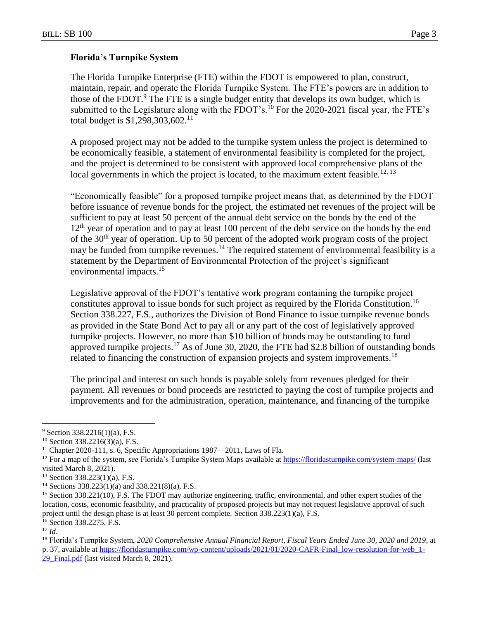## **Florida's Turnpike System**

The Florida Turnpike Enterprise (FTE) within the FDOT is empowered to plan, construct, maintain, repair, and operate the Florida Turnpike System. The FTE's powers are in addition to those of the FDOT.<sup>9</sup> The FTE is a single budget entity that develops its own budget, which is submitted to the Legislature along with the FDOT's.<sup>10</sup> For the 2020-2021 fiscal year, the FTE's total budget is  $$1,298,303,602$ <sup>11</sup>

A proposed project may not be added to the turnpike system unless the project is determined to be economically feasible, a statement of environmental feasibility is completed for the project, and the project is determined to be consistent with approved local comprehensive plans of the local governments in which the project is located, to the maximum extent feasible.<sup>12, 13</sup>

"Economically feasible" for a proposed turnpike project means that, as determined by the FDOT before issuance of revenue bonds for the project, the estimated net revenues of the project will be sufficient to pay at least 50 percent of the annual debt service on the bonds by the end of the  $12<sup>th</sup>$  year of operation and to pay at least 100 percent of the debt service on the bonds by the end of the 30th year of operation. Up to 50 percent of the adopted work program costs of the project may be funded from turnpike revenues.<sup>14</sup> The required statement of environmental feasibility is a statement by the Department of Environmental Protection of the project's significant environmental impacts.<sup>15</sup>

Legislative approval of the FDOT's tentative work program containing the turnpike project constitutes approval to issue bonds for such project as required by the Florida Constitution.<sup>16</sup> Section 338.227, F.S., authorizes the Division of Bond Finance to issue turnpike revenue bonds as provided in the State Bond Act to pay all or any part of the cost of legislatively approved turnpike projects. However, no more than \$10 billion of bonds may be outstanding to fund approved turnpike projects.<sup>17</sup> As of June 30, 2020, the FTE had \$2.8 billion of outstanding bonds related to financing the construction of expansion projects and system improvements.<sup>18</sup>

The principal and interest on such bonds is payable solely from revenues pledged for their payment. All revenues or bond proceeds are restricted to paying the cost of turnpike projects and improvements and for the administration, operation, maintenance, and financing of the turnpike

 $9$  Section 338.2216(1)(a), F.S.

<sup>10</sup> Section 338.2216(3)(a), F.S.

<sup>&</sup>lt;sup>11</sup> Chapter 2020-111, s. 6, Specific Appropriations  $1987 - 2011$ , Laws of Fla.

<sup>&</sup>lt;sup>12</sup> For a map of the system, *see* Florida's Turnpike System Maps available at<https://floridasturnpike.com/system-maps/> (last visited March 8, 2021).

<sup>13</sup> Section 338.223(1)(a), F.S.

<sup>14</sup> Sections 338.223(1)(a) and 338.221(8)(a), F.S.

<sup>15</sup> Section 338.221(10), F.S. The FDOT may authorize engineering, traffic, environmental, and other expert studies of the location, costs, economic feasibility, and practicality of proposed projects but may not request legislative approval of such project until the design phase is at least 30 percent complete. Section 338.223(1)(a), F.S.

<sup>16</sup> Section 338.2275, F.S.

<sup>17</sup> *Id*.

<sup>18</sup> Florida's Turnpike System, *2020 Comprehensive Annual Financial Report, Fiscal Years Ended June 30, 2020 and 2019*, at p. 37, available at [https://floridasturnpike.com/wp-content/uploads/2021/01/2020-CAFR-Final\\_low-resolution-for-web\\_1-](https://floridasturnpike.com/wp-content/uploads/2021/01/2020-CAFR-Final_low-resolution-for-web_1-29_Final.pdf) 29 Final.pdf (last visited March 8, 2021).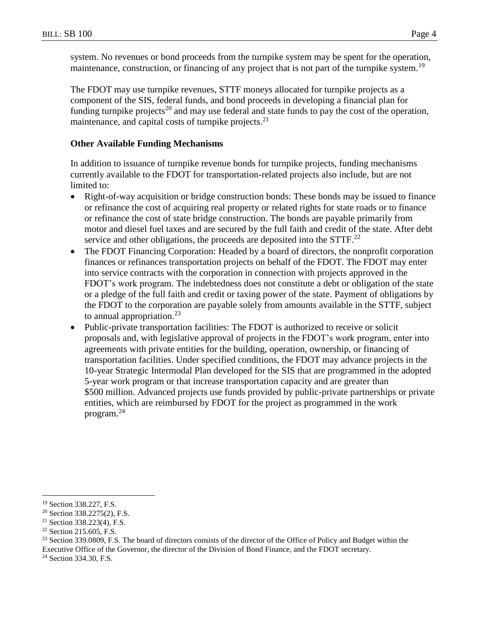system. No revenues or bond proceeds from the turnpike system may be spent for the operation, maintenance, construction, or financing of any project that is not part of the turnpike system.<sup>19</sup>

The FDOT may use turnpike revenues, STTF moneys allocated for turnpike projects as a component of the SIS, federal funds, and bond proceeds in developing a financial plan for funding turnpike projects<sup>20</sup> and may use federal and state funds to pay the cost of the operation, maintenance, and capital costs of turnpike projects.<sup>21</sup>

## **Other Available Funding Mechanisms**

In addition to issuance of turnpike revenue bonds for turnpike projects, funding mechanisms currently available to the FDOT for transportation-related projects also include, but are not limited to:

- Right-of-way acquisition or bridge construction bonds: These bonds may be issued to finance or refinance the cost of acquiring real property or related rights for state roads or to finance or refinance the cost of state bridge construction. The bonds are payable primarily from motor and diesel fuel taxes and are secured by the full faith and credit of the state. After debt service and other obligations, the proceeds are deposited into the  $STTF<sup>22</sup>$
- The FDOT Financing Corporation: Headed by a board of directors, the nonprofit corporation finances or refinances transportation projects on behalf of the FDOT. The FDOT may enter into service contracts with the corporation in connection with projects approved in the FDOT's work program. The indebtedness does not constitute a debt or obligation of the state or a pledge of the full faith and credit or taxing power of the state. Payment of obligations by the FDOT to the corporation are payable solely from amounts available in the STTF, subject to annual appropriation. $^{23}$
- Public-private transportation facilities: The FDOT is authorized to receive or solicit proposals and, with legislative approval of projects in the FDOT's work program, enter into agreements with private entities for the building, operation, ownership, or financing of transportation facilities. Under specified conditions, the FDOT may advance projects in the 10-year Strategic Intermodal Plan developed for the SIS that are programmed in the adopted 5-year work program or that increase transportation capacity and are greater than \$500 million. Advanced projects use funds provided by public-private partnerships or private entities, which are reimbursed by FDOT for the project as programmed in the work program.<sup>24</sup>

 $\overline{a}$ <sup>19</sup> Section 338.227, F.S.

<sup>20</sup> Section 338.2275(2), F.S.

<sup>21</sup> Section 338.223(4), F.S.

<sup>22</sup> Section 215.605, F.S.

<sup>&</sup>lt;sup>23</sup> Section 339.0809, F.S. The board of directors consists of the director of the Office of Policy and Budget within the Executive Office of the Governor, the director of the Division of Bond Finance, and the FDOT secretary.

<sup>&</sup>lt;sup>24</sup> Section 334.30, F.S.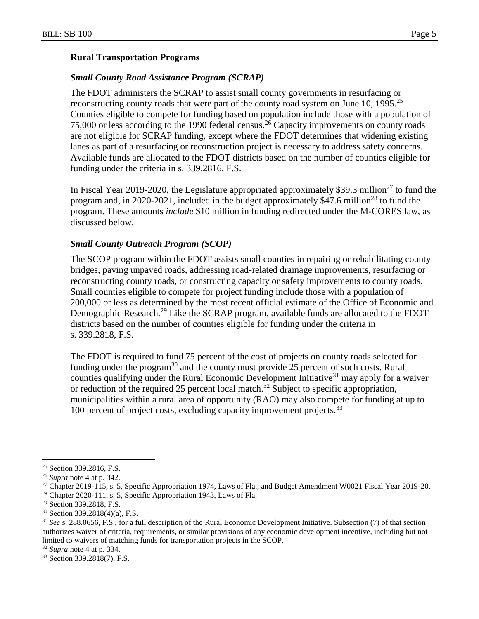#### **Rural Transportation Programs**

### *Small County Road Assistance Program (SCRAP)*

The FDOT administers the SCRAP to assist small county governments in resurfacing or reconstructing county roads that were part of the county road system on June 10, 1995.<sup>25</sup> Counties eligible to compete for funding based on population include those with a population of 75,000 or less according to the 1990 federal census.<sup>26</sup> Capacity improvements on county roads are not eligible for SCRAP funding, except where the FDOT determines that widening existing lanes as part of a resurfacing or reconstruction project is necessary to address safety concerns. Available funds are allocated to the FDOT districts based on the number of counties eligible for funding under the criteria in s. 339.2816, F.S.

In Fiscal Year 2019-2020, the Legislature appropriated approximately \$39.3 million<sup>27</sup> to fund the program and, in 2020-2021, included in the budget approximately \$47.6 million<sup>28</sup> to fund the program. These amounts *include* \$10 million in funding redirected under the M-CORES law, as discussed below.

### *Small County Outreach Program (SCOP)*

The SCOP program within the FDOT assists small counties in repairing or rehabilitating county bridges, paving unpaved roads, addressing road-related drainage improvements, resurfacing or reconstructing county roads, or constructing capacity or safety improvements to county roads. Small counties eligible to compete for project funding include those with a population of 200,000 or less as determined by the most recent official estimate of the Office of Economic and Demographic Research.<sup>29</sup> Like the SCRAP program, available funds are allocated to the FDOT districts based on the number of counties eligible for funding under the criteria in s. 339.2818, F.S.

The FDOT is required to fund 75 percent of the cost of projects on county roads selected for funding under the program<sup>30</sup> and the county must provide 25 percent of such costs. Rural counties qualifying under the Rural Economic Development Initiative<sup>31</sup> may apply for a waiver or reduction of the required 25 percent local match.<sup>32</sup> Subject to specific appropriation, municipalities within a rural area of opportunity (RAO) may also compete for funding at up to 100 percent of project costs, excluding capacity improvement projects.<sup>33</sup>

<sup>25</sup> Section 339.2816, F.S.

<sup>26</sup> *Supra* note 4 at p. 342.

<sup>27</sup> Chapter 2019-115, s. 5, Specific Appropriation 1974, Laws of Fla., and Budget Amendment W0021 Fiscal Year 2019-20.

<sup>&</sup>lt;sup>28</sup> Chapter 2020-111, s. 5, Specific Appropriation 1943, Laws of Fla.

<sup>29</sup> Section 339.2818, F.S.

<sup>30</sup> Section 339.2818(4)(a), F.S.

<sup>31</sup> *See* s. 288.0656, F.S., for a full description of the Rural Economic Development Initiative. Subsection (7) of that section authorizes waiver of criteria, requirements, or similar provisions of any economic development incentive, including but not limited to waivers of matching funds for transportation projects in the SCOP.

<sup>32</sup> *Supra* note 4 at p. 334.

<sup>33</sup> Section 339.2818(7), F.S.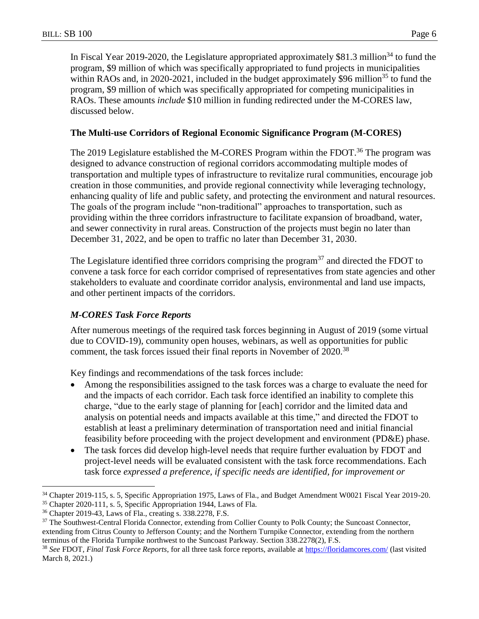In Fiscal Year 2019-2020, the Legislature appropriated approximately \$81.3 million<sup>34</sup> to fund the program, \$9 million of which was specifically appropriated to fund projects in municipalities within RAOs and, in 2020-2021, included in the budget approximately \$96 million<sup>35</sup> to fund the program, \$9 million of which was specifically appropriated for competing municipalities in RAOs. These amounts *include* \$10 million in funding redirected under the M-CORES law, discussed below.

## **The Multi-use Corridors of Regional Economic Significance Program (M-CORES)**

The 2019 Legislature established the M-CORES Program within the FDOT.<sup>36</sup> The program was designed to advance construction of regional corridors accommodating multiple modes of transportation and multiple types of infrastructure to revitalize rural communities, encourage job creation in those communities, and provide regional connectivity while leveraging technology, enhancing quality of life and public safety, and protecting the environment and natural resources. The goals of the program include "non-traditional" approaches to transportation, such as providing within the three corridors infrastructure to facilitate expansion of broadband, water, and sewer connectivity in rural areas. Construction of the projects must begin no later than December 31, 2022, and be open to traffic no later than December 31, 2030.

The Legislature identified three corridors comprising the program<sup>37</sup> and directed the FDOT to convene a task force for each corridor comprised of representatives from state agencies and other stakeholders to evaluate and coordinate corridor analysis, environmental and land use impacts, and other pertinent impacts of the corridors.

## *M-CORES Task Force Reports*

After numerous meetings of the required task forces beginning in August of 2019 (some virtual due to COVID-19), community open houses, webinars, as well as opportunities for public comment, the task forces issued their final reports in November of 2020.<sup>38</sup>

Key findings and recommendations of the task forces include:

- Among the responsibilities assigned to the task forces was a charge to evaluate the need for and the impacts of each corridor. Each task force identified an inability to complete this charge, "due to the early stage of planning for [each] corridor and the limited data and analysis on potential needs and impacts available at this time," and directed the FDOT to establish at least a preliminary determination of transportation need and initial financial feasibility before proceeding with the project development and environment (PD&E) phase.
- The task forces did develop high-level needs that require further evaluation by FDOT and project-level needs will be evaluated consistent with the task force recommendations. Each task force *expressed a preference, if specific needs are identified, for improvement or*

<sup>34</sup> Chapter 2019-115, s. 5, Specific Appropriation 1975, Laws of Fla., and Budget Amendment W0021 Fiscal Year 2019-20.

<sup>35</sup> Chapter 2020-111, s. 5, Specific Appropriation 1944, Laws of Fla.

<sup>36</sup> Chapter 2019-43, Laws of Fla., creating s. 338.2278, F.S.

<sup>&</sup>lt;sup>37</sup> The Southwest-Central Florida Connector, extending from Collier County to Polk County; the Suncoast Connector, extending from Citrus County to Jefferson County; and the Northern Turnpike Connector, extending from the northern terminus of the Florida Turnpike northwest to the Suncoast Parkway. Section 338.2278(2), F.S.

<sup>38</sup> *See* FDOT, *Final Task Force Reports*, for all three task force reports, available at<https://floridamcores.com/> (last visited March 8, 2021.)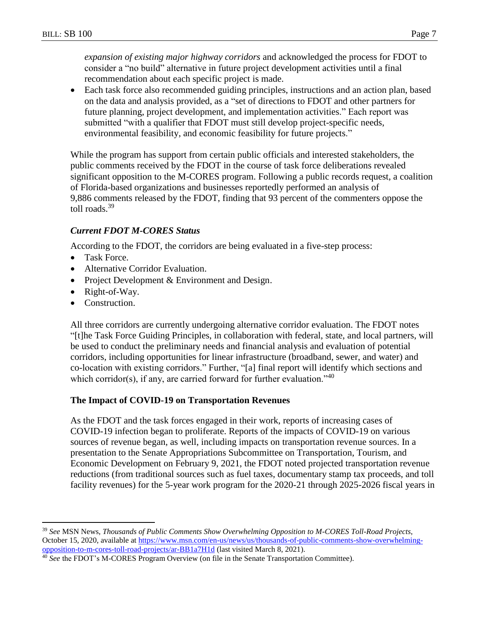*expansion of existing major highway corridors* and acknowledged the process for FDOT to consider a "no build" alternative in future project development activities until a final recommendation about each specific project is made.

 Each task force also recommended guiding principles, instructions and an action plan, based on the data and analysis provided, as a "set of directions to FDOT and other partners for future planning, project development, and implementation activities." Each report was submitted "with a qualifier that FDOT must still develop project-specific needs, environmental feasibility, and economic feasibility for future projects."

While the program has support from certain public officials and interested stakeholders, the public comments received by the FDOT in the course of task force deliberations revealed significant opposition to the M-CORES program. Following a public records request, a coalition of Florida-based organizations and businesses reportedly performed an analysis of 9,886 comments released by the FDOT, finding that 93 percent of the commenters oppose the toll roads.<sup>39</sup>

## *Current FDOT M-CORES Status*

According to the FDOT, the corridors are being evaluated in a five-step process:

- Task Force.
- Alternative Corridor Evaluation.
- Project Development & Environment and Design.
- Right-of-Way.
- Construction.

 $\overline{a}$ 

All three corridors are currently undergoing alternative corridor evaluation. The FDOT notes "[t]he Task Force Guiding Principles, in collaboration with federal, state, and local partners, will be used to conduct the preliminary needs and financial analysis and evaluation of potential corridors, including opportunities for linear infrastructure (broadband, sewer, and water) and co-location with existing corridors." Further, "[a] final report will identify which sections and which corridor(s), if any, are carried forward for further evaluation." $40$ 

## **The Impact of COVID-19 on Transportation Revenues**

As the FDOT and the task forces engaged in their work, reports of increasing cases of COVID-19 infection began to proliferate. Reports of the impacts of COVID-19 on various sources of revenue began, as well, including impacts on transportation revenue sources. In a presentation to the Senate Appropriations Subcommittee on Transportation, Tourism, and Economic Development on February 9, 2021, the FDOT noted projected transportation revenue reductions (from traditional sources such as fuel taxes, documentary stamp tax proceeds, and toll facility revenues) for the 5-year work program for the 2020-21 through 2025-2026 fiscal years in

<sup>39</sup> *See* MSN News, *Thousands of Public Comments Show Overwhelming Opposition to M-CORES Toll-Road Projects*, October 15, 2020, available at [https://www.msn.com/en-us/news/us/thousands-of-public-comments-show-overwhelming](https://www.msn.com/en-us/news/us/thousands-of-public-comments-show-overwhelming-opposition-to-m-cores-toll-road-projects/ar-BB1a7H1d)[opposition-to-m-cores-toll-road-projects/ar-BB1a7H1d](https://www.msn.com/en-us/news/us/thousands-of-public-comments-show-overwhelming-opposition-to-m-cores-toll-road-projects/ar-BB1a7H1d) (last visited March 8, 2021).

<sup>40</sup> *See* the FDOT's M-CORES Program Overview (on file in the Senate Transportation Committee).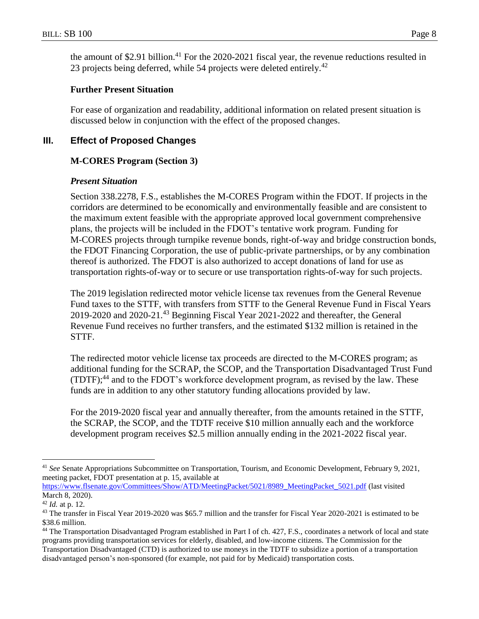the amount of \$2.91 billion.<sup>41</sup> For the 2020-2021 fiscal year, the revenue reductions resulted in 23 projects being deferred, while 54 projects were deleted entirely.<sup>42</sup>

## **Further Present Situation**

For ease of organization and readability, additional information on related present situation is discussed below in conjunction with the effect of the proposed changes.

# **III. Effect of Proposed Changes**

# **M-CORES Program (Section 3)**

# *Present Situation*

Section 338.2278, F.S., establishes the M-CORES Program within the FDOT. If projects in the corridors are determined to be economically and environmentally feasible and are consistent to the maximum extent feasible with the appropriate approved local government comprehensive plans, the projects will be included in the FDOT's tentative work program. Funding for M-CORES projects through turnpike revenue bonds, right-of-way and bridge construction bonds, the FDOT Financing Corporation, the use of public-private partnerships, or by any combination thereof is authorized. The FDOT is also authorized to accept donations of land for use as transportation rights-of-way or to secure or use transportation rights-of-way for such projects.

The 2019 legislation redirected motor vehicle license tax revenues from the General Revenue Fund taxes to the STTF, with transfers from STTF to the General Revenue Fund in Fiscal Years 2019-2020 and 2020-21. <sup>43</sup> Beginning Fiscal Year 2021-2022 and thereafter, the General Revenue Fund receives no further transfers, and the estimated \$132 million is retained in the STTF.

The redirected motor vehicle license tax proceeds are directed to the M-CORES program; as additional funding for the SCRAP, the SCOP, and the Transportation Disadvantaged Trust Fund  $(TDTF)$ ;<sup>44</sup> and to the FDOT's workforce development program, as revised by the law. These funds are in addition to any other statutory funding allocations provided by law.

For the 2019-2020 fiscal year and annually thereafter, from the amounts retained in the STTF, the SCRAP, the SCOP, and the TDTF receive \$10 million annually each and the workforce development program receives \$2.5 million annually ending in the 2021-2022 fiscal year.

<sup>41</sup> *See* Senate Appropriations Subcommittee on Transportation, Tourism, and Economic Development, February 9, 2021, meeting packet, FDOT presentation at p. 15, available at

[https://www.flsenate.gov/Committees/Show/ATD/MeetingPacket/5021/8989\\_MeetingPacket\\_5021.pdf](https://www.flsenate.gov/Committees/Show/ATD/MeetingPacket/5021/8989_MeetingPacket_5021.pdf) (last visited March 8, 2020).

<sup>42</sup> *Id.* at p. 12.

<sup>&</sup>lt;sup>43</sup> The transfer in Fiscal Year 2019-2020 was \$65.7 million and the transfer for Fiscal Year 2020-2021 is estimated to be \$38.6 million.

<sup>44</sup> The Transportation Disadvantaged Program established in Part I of ch. 427, F.S., coordinates a network of local and state programs providing transportation services for elderly, disabled, and low-income citizens. The Commission for the Transportation Disadvantaged (CTD) is authorized to use moneys in the TDTF to subsidize a portion of a transportation disadvantaged person's non-sponsored (for example, not paid for by Medicaid) transportation costs.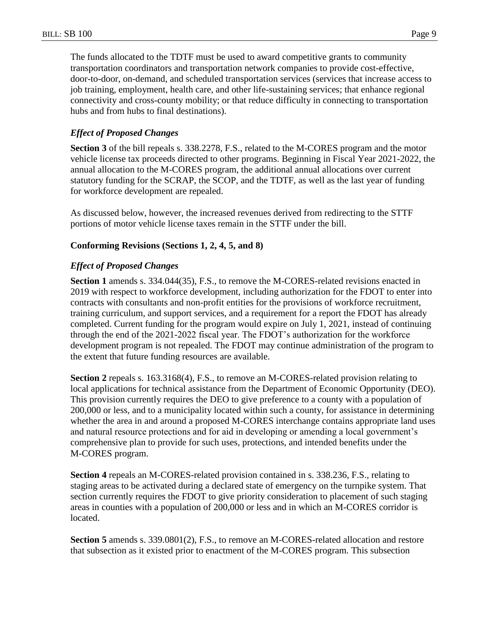The funds allocated to the TDTF must be used to award competitive grants to community transportation coordinators and transportation network companies to provide cost-effective, door-to-door, on-demand, and scheduled transportation services (services that increase access to job training, employment, health care, and other life-sustaining services; that enhance regional connectivity and cross-county mobility; or that reduce difficulty in connecting to transportation hubs and from hubs to final destinations).

## *Effect of Proposed Changes*

**Section 3** of the bill repeals s. 338.2278, F.S., related to the M-CORES program and the motor vehicle license tax proceeds directed to other programs. Beginning in Fiscal Year 2021-2022, the annual allocation to the M-CORES program, the additional annual allocations over current statutory funding for the SCRAP, the SCOP, and the TDTF, as well as the last year of funding for workforce development are repealed.

As discussed below, however, the increased revenues derived from redirecting to the STTF portions of motor vehicle license taxes remain in the STTF under the bill.

## **Conforming Revisions (Sections 1, 2, 4, 5, and 8)**

## *Effect of Proposed Changes*

**Section 1** amends s. 334.044(35), F.S., to remove the M-CORES-related revisions enacted in 2019 with respect to workforce development, including authorization for the FDOT to enter into contracts with consultants and non-profit entities for the provisions of workforce recruitment, training curriculum, and support services, and a requirement for a report the FDOT has already completed. Current funding for the program would expire on July 1, 2021, instead of continuing through the end of the 2021-2022 fiscal year. The FDOT's authorization for the workforce development program is not repealed. The FDOT may continue administration of the program to the extent that future funding resources are available.

**Section 2** repeals s. 163.3168(4), F.S., to remove an M-CORES-related provision relating to local applications for technical assistance from the Department of Economic Opportunity (DEO). This provision currently requires the DEO to give preference to a county with a population of 200,000 or less, and to a municipality located within such a county, for assistance in determining whether the area in and around a proposed M-CORES interchange contains appropriate land uses and natural resource protections and for aid in developing or amending a local government's comprehensive plan to provide for such uses, protections, and intended benefits under the M-CORES program.

**Section 4** repeals an M-CORES-related provision contained in s. 338.236, F.S., relating to staging areas to be activated during a declared state of emergency on the turnpike system. That section currently requires the FDOT to give priority consideration to placement of such staging areas in counties with a population of 200,000 or less and in which an M-CORES corridor is located.

**Section 5** amends s. 339.0801(2), F.S., to remove an M-CORES-related allocation and restore that subsection as it existed prior to enactment of the M-CORES program. This subsection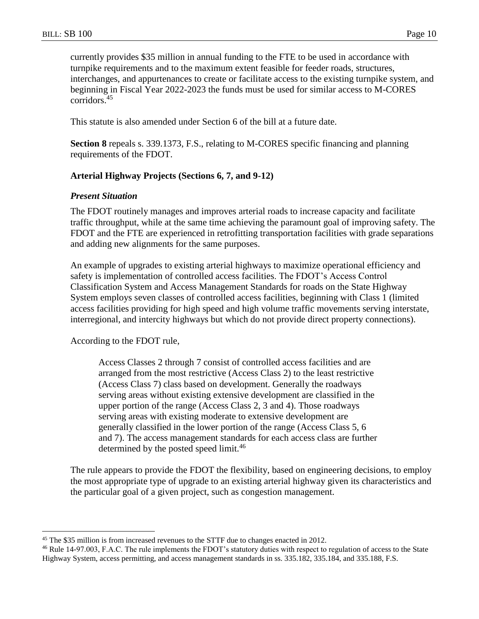currently provides \$35 million in annual funding to the FTE to be used in accordance with turnpike requirements and to the maximum extent feasible for feeder roads, structures, interchanges, and appurtenances to create or facilitate access to the existing turnpike system, and beginning in Fiscal Year 2022-2023 the funds must be used for similar access to M-CORES corridors.<sup>45</sup>

This statute is also amended under Section 6 of the bill at a future date.

**Section 8** repeals s. 339.1373, F.S., relating to M-CORES specific financing and planning requirements of the FDOT.

### **Arterial Highway Projects (Sections 6, 7, and 9-12)**

### *Present Situation*

The FDOT routinely manages and improves arterial roads to increase capacity and facilitate traffic throughput, while at the same time achieving the paramount goal of improving safety. The FDOT and the FTE are experienced in retrofitting transportation facilities with grade separations and adding new alignments for the same purposes.

An example of upgrades to existing arterial highways to maximize operational efficiency and safety is implementation of controlled access facilities. The FDOT's Access Control Classification System and Access Management Standards for roads on the State Highway System employs seven classes of controlled access facilities, beginning with Class 1 (limited access facilities providing for high speed and high volume traffic movements serving interstate, interregional, and intercity highways but which do not provide direct property connections).

According to the FDOT rule,

 $\overline{a}$ 

Access Classes 2 through 7 consist of controlled access facilities and are arranged from the most restrictive (Access Class 2) to the least restrictive (Access Class 7) class based on development. Generally the roadways serving areas without existing extensive development are classified in the upper portion of the range (Access Class 2, 3 and 4). Those roadways serving areas with existing moderate to extensive development are generally classified in the lower portion of the range (Access Class 5, 6 and 7). The access management standards for each access class are further determined by the posted speed limit.<sup>46</sup>

The rule appears to provide the FDOT the flexibility, based on engineering decisions, to employ the most appropriate type of upgrade to an existing arterial highway given its characteristics and the particular goal of a given project, such as congestion management.

<sup>&</sup>lt;sup>45</sup> The \$35 million is from increased revenues to the STTF due to changes enacted in 2012.

<sup>46</sup> Rule 14-97.003, F.A.C. The rule implements the FDOT's statutory duties with respect to regulation of access to the State Highway System, access permitting, and access management standards in ss. 335.182, 335.184, and 335.188, F.S.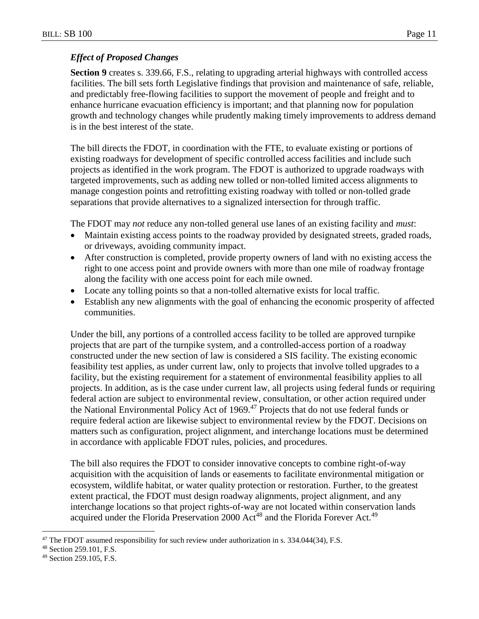## *Effect of Proposed Changes*

**Section 9** creates s. 339.66, F.S., relating to upgrading arterial highways with controlled access facilities. The bill sets forth Legislative findings that provision and maintenance of safe, reliable, and predictably free-flowing facilities to support the movement of people and freight and to enhance hurricane evacuation efficiency is important; and that planning now for population growth and technology changes while prudently making timely improvements to address demand is in the best interest of the state.

The bill directs the FDOT, in coordination with the FTE, to evaluate existing or portions of existing roadways for development of specific controlled access facilities and include such projects as identified in the work program. The FDOT is authorized to upgrade roadways with targeted improvements, such as adding new tolled or non-tolled limited access alignments to manage congestion points and retrofitting existing roadway with tolled or non-tolled grade separations that provide alternatives to a signalized intersection for through traffic.

The FDOT may *not* reduce any non-tolled general use lanes of an existing facility and *must*:

- Maintain existing access points to the roadway provided by designated streets, graded roads, or driveways, avoiding community impact.
- After construction is completed, provide property owners of land with no existing access the right to one access point and provide owners with more than one mile of roadway frontage along the facility with one access point for each mile owned.
- Locate any tolling points so that a non-tolled alternative exists for local traffic.
- Establish any new alignments with the goal of enhancing the economic prosperity of affected communities.

Under the bill, any portions of a controlled access facility to be tolled are approved turnpike projects that are part of the turnpike system, and a controlled-access portion of a roadway constructed under the new section of law is considered a SIS facility. The existing economic feasibility test applies, as under current law, only to projects that involve tolled upgrades to a facility, but the existing requirement for a statement of environmental feasibility applies to all projects. In addition, as is the case under current law, all projects using federal funds or requiring federal action are subject to environmental review, consultation, or other action required under the National Environmental Policy Act of 1969.<sup>47</sup> Projects that do not use federal funds or require federal action are likewise subject to environmental review by the FDOT. Decisions on matters such as configuration, project alignment, and interchange locations must be determined in accordance with applicable FDOT rules, policies, and procedures.

The bill also requires the FDOT to consider innovative concepts to combine right-of-way acquisition with the acquisition of lands or easements to facilitate environmental mitigation or ecosystem, wildlife habitat, or water quality protection or restoration. Further, to the greatest extent practical, the FDOT must design roadway alignments, project alignment, and any interchange locations so that project rights-of-way are not located within conservation lands acquired under the Florida Preservation 2000 Act<sup>48</sup> and the Florida Forever Act.<sup>49</sup>

<sup>&</sup>lt;sup>47</sup> The FDOT assumed responsibility for such review under authorization in s. 334.044(34), F.S.

<sup>48</sup> Section 259.101, F.S.

<sup>49</sup> Section 259.105, F.S.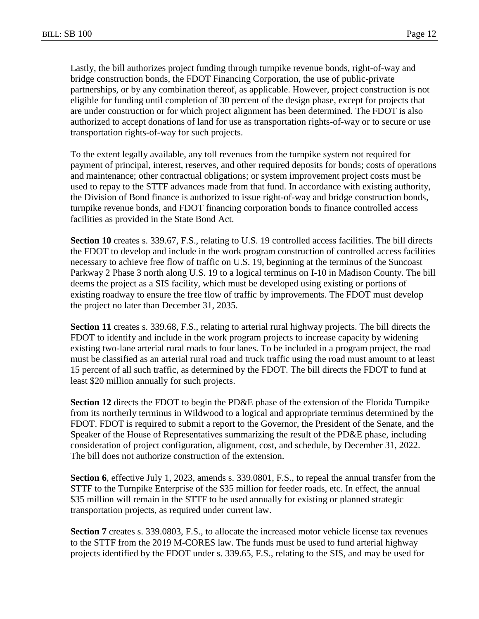Lastly, the bill authorizes project funding through turnpike revenue bonds, right-of-way and bridge construction bonds, the FDOT Financing Corporation, the use of public-private partnerships, or by any combination thereof, as applicable. However, project construction is not eligible for funding until completion of 30 percent of the design phase, except for projects that are under construction or for which project alignment has been determined. The FDOT is also authorized to accept donations of land for use as transportation rights-of-way or to secure or use transportation rights-of-way for such projects.

To the extent legally available, any toll revenues from the turnpike system not required for payment of principal, interest, reserves, and other required deposits for bonds; costs of operations and maintenance; other contractual obligations; or system improvement project costs must be used to repay to the STTF advances made from that fund. In accordance with existing authority, the Division of Bond finance is authorized to issue right-of-way and bridge construction bonds, turnpike revenue bonds, and FDOT financing corporation bonds to finance controlled access facilities as provided in the State Bond Act.

**Section 10** creates s. 339.67, F.S., relating to U.S. 19 controlled access facilities. The bill directs the FDOT to develop and include in the work program construction of controlled access facilities necessary to achieve free flow of traffic on U.S. 19, beginning at the terminus of the Suncoast Parkway 2 Phase 3 north along U.S. 19 to a logical terminus on I-10 in Madison County. The bill deems the project as a SIS facility, which must be developed using existing or portions of existing roadway to ensure the free flow of traffic by improvements. The FDOT must develop the project no later than December 31, 2035.

**Section 11** creates s. 339.68, F.S., relating to arterial rural highway projects. The bill directs the FDOT to identify and include in the work program projects to increase capacity by widening existing two-lane arterial rural roads to four lanes. To be included in a program project, the road must be classified as an arterial rural road and truck traffic using the road must amount to at least 15 percent of all such traffic, as determined by the FDOT. The bill directs the FDOT to fund at least \$20 million annually for such projects.

**Section 12** directs the FDOT to begin the PD&E phase of the extension of the Florida Turnpike from its northerly terminus in Wildwood to a logical and appropriate terminus determined by the FDOT. FDOT is required to submit a report to the Governor, the President of the Senate, and the Speaker of the House of Representatives summarizing the result of the PD&E phase, including consideration of project configuration, alignment, cost, and schedule, by December 31, 2022. The bill does not authorize construction of the extension.

**Section 6**, effective July 1, 2023, amends s. 339.0801, F.S., to repeal the annual transfer from the STTF to the Turnpike Enterprise of the \$35 million for feeder roads, etc. In effect, the annual \$35 million will remain in the STTF to be used annually for existing or planned strategic transportation projects, as required under current law.

**Section 7** creates s. 339.0803, F.S., to allocate the increased motor vehicle license tax revenues to the STTF from the 2019 M-CORES law. The funds must be used to fund arterial highway projects identified by the FDOT under s. 339.65, F.S., relating to the SIS, and may be used for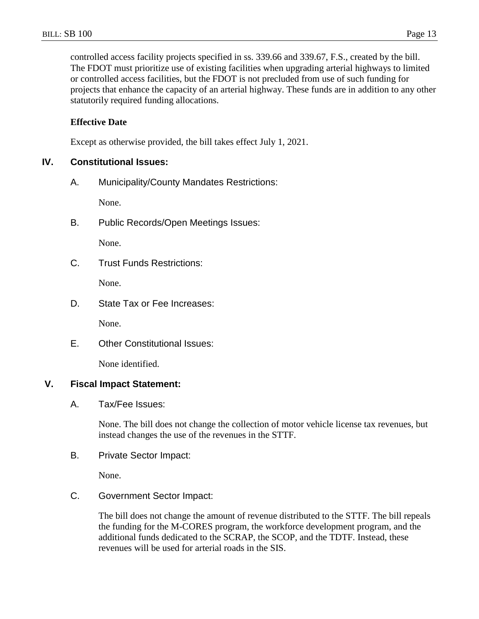controlled access facility projects specified in ss. 339.66 and 339.67, F.S., created by the bill. The FDOT must prioritize use of existing facilities when upgrading arterial highways to limited or controlled access facilities, but the FDOT is not precluded from use of such funding for projects that enhance the capacity of an arterial highway. These funds are in addition to any other statutorily required funding allocations.

### **Effective Date**

Except as otherwise provided, the bill takes effect July 1, 2021.

### **IV. Constitutional Issues:**

A. Municipality/County Mandates Restrictions:

None.

B. Public Records/Open Meetings Issues:

None.

C. Trust Funds Restrictions:

None.

D. State Tax or Fee Increases:

None.

E. Other Constitutional Issues:

None identified.

## **V. Fiscal Impact Statement:**

A. Tax/Fee Issues:

None. The bill does not change the collection of motor vehicle license tax revenues, but instead changes the use of the revenues in the STTF.

B. Private Sector Impact:

None.

C. Government Sector Impact:

The bill does not change the amount of revenue distributed to the STTF. The bill repeals the funding for the M-CORES program, the workforce development program, and the additional funds dedicated to the SCRAP, the SCOP, and the TDTF. Instead, these revenues will be used for arterial roads in the SIS.